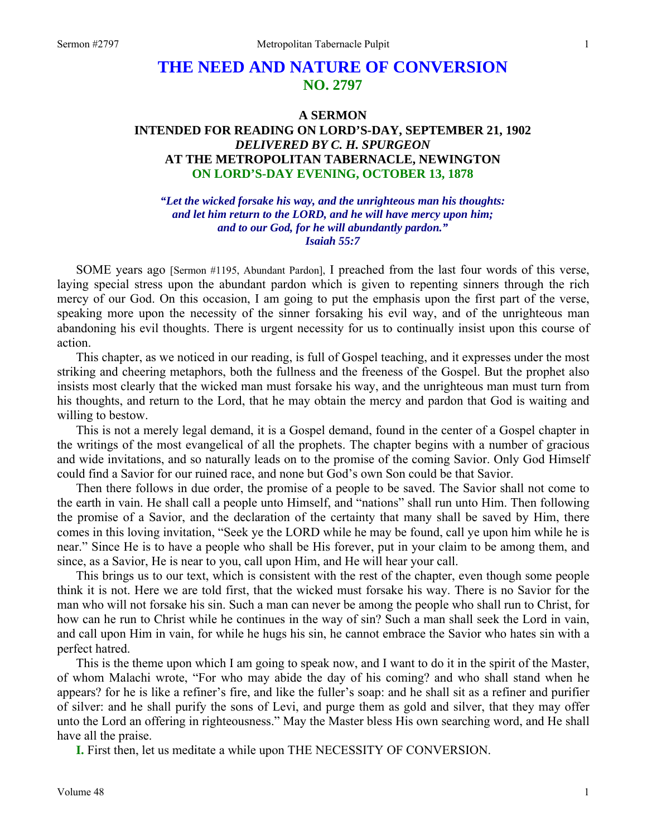# **THE NEED AND NATURE OF CONVERSION NO. 2797**

# **A SERMON INTENDED FOR READING ON LORD'S-DAY, SEPTEMBER 21, 1902**  *DELIVERED BY C. H. SPURGEON*  **AT THE METROPOLITAN TABERNACLE, NEWINGTON ON LORD'S-DAY EVENING, OCTOBER 13, 1878**

*"Let the wicked forsake his way, and the unrighteous man his thoughts: and let him return to the LORD, and he will have mercy upon him; and to our God, for he will abundantly pardon." Isaiah 55:7* 

SOME years ago [Sermon #1195, Abundant Pardon], I preached from the last four words of this verse, laying special stress upon the abundant pardon which is given to repenting sinners through the rich mercy of our God. On this occasion, I am going to put the emphasis upon the first part of the verse, speaking more upon the necessity of the sinner forsaking his evil way, and of the unrighteous man abandoning his evil thoughts. There is urgent necessity for us to continually insist upon this course of action.

This chapter, as we noticed in our reading, is full of Gospel teaching, and it expresses under the most striking and cheering metaphors, both the fullness and the freeness of the Gospel. But the prophet also insists most clearly that the wicked man must forsake his way, and the unrighteous man must turn from his thoughts, and return to the Lord, that he may obtain the mercy and pardon that God is waiting and willing to bestow.

This is not a merely legal demand, it is a Gospel demand, found in the center of a Gospel chapter in the writings of the most evangelical of all the prophets. The chapter begins with a number of gracious and wide invitations, and so naturally leads on to the promise of the coming Savior. Only God Himself could find a Savior for our ruined race, and none but God's own Son could be that Savior.

Then there follows in due order, the promise of a people to be saved. The Savior shall not come to the earth in vain. He shall call a people unto Himself, and "nations" shall run unto Him. Then following the promise of a Savior, and the declaration of the certainty that many shall be saved by Him, there comes in this loving invitation, "Seek ye the LORD while he may be found, call ye upon him while he is near." Since He is to have a people who shall be His forever, put in your claim to be among them, and since, as a Savior, He is near to you, call upon Him, and He will hear your call.

This brings us to our text, which is consistent with the rest of the chapter, even though some people think it is not. Here we are told first, that the wicked must forsake his way. There is no Savior for the man who will not forsake his sin. Such a man can never be among the people who shall run to Christ, for how can he run to Christ while he continues in the way of sin? Such a man shall seek the Lord in vain, and call upon Him in vain, for while he hugs his sin, he cannot embrace the Savior who hates sin with a perfect hatred.

This is the theme upon which I am going to speak now, and I want to do it in the spirit of the Master, of whom Malachi wrote, "For who may abide the day of his coming? and who shall stand when he appears? for he is like a refiner's fire, and like the fuller's soap: and he shall sit as a refiner and purifier of silver: and he shall purify the sons of Levi, and purge them as gold and silver, that they may offer unto the Lord an offering in righteousness." May the Master bless His own searching word, and He shall have all the praise.

**I.** First then, let us meditate a while upon THE NECESSITY OF CONVERSION.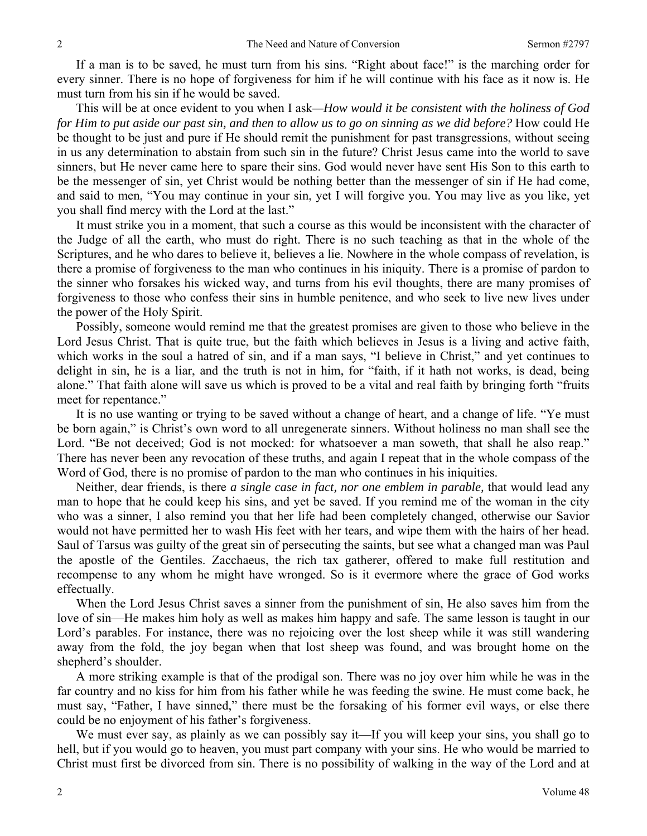If a man is to be saved, he must turn from his sins. "Right about face!" is the marching order for every sinner. There is no hope of forgiveness for him if he will continue with his face as it now is. He must turn from his sin if he would be saved.

This will be at once evident to you when I ask*—How would it be consistent with the holiness of God for Him to put aside our past sin, and then to allow us to go on sinning as we did before?* How could He be thought to be just and pure if He should remit the punishment for past transgressions, without seeing in us any determination to abstain from such sin in the future? Christ Jesus came into the world to save sinners, but He never came here to spare their sins. God would never have sent His Son to this earth to be the messenger of sin, yet Christ would be nothing better than the messenger of sin if He had come, and said to men, "You may continue in your sin, yet I will forgive you. You may live as you like, yet you shall find mercy with the Lord at the last."

It must strike you in a moment, that such a course as this would be inconsistent with the character of the Judge of all the earth, who must do right. There is no such teaching as that in the whole of the Scriptures, and he who dares to believe it, believes a lie. Nowhere in the whole compass of revelation, is there a promise of forgiveness to the man who continues in his iniquity. There is a promise of pardon to the sinner who forsakes his wicked way, and turns from his evil thoughts, there are many promises of forgiveness to those who confess their sins in humble penitence, and who seek to live new lives under the power of the Holy Spirit.

Possibly, someone would remind me that the greatest promises are given to those who believe in the Lord Jesus Christ. That is quite true, but the faith which believes in Jesus is a living and active faith, which works in the soul a hatred of sin, and if a man says, "I believe in Christ," and yet continues to delight in sin, he is a liar, and the truth is not in him, for "faith, if it hath not works, is dead, being alone." That faith alone will save us which is proved to be a vital and real faith by bringing forth "fruits meet for repentance."

It is no use wanting or trying to be saved without a change of heart, and a change of life. "Ye must be born again," is Christ's own word to all unregenerate sinners. Without holiness no man shall see the Lord. "Be not deceived; God is not mocked: for whatsoever a man soweth, that shall he also reap." There has never been any revocation of these truths, and again I repeat that in the whole compass of the Word of God, there is no promise of pardon to the man who continues in his iniquities.

Neither, dear friends, is there *a single case in fact, nor one emblem in parable,* that would lead any man to hope that he could keep his sins, and yet be saved. If you remind me of the woman in the city who was a sinner, I also remind you that her life had been completely changed, otherwise our Savior would not have permitted her to wash His feet with her tears, and wipe them with the hairs of her head. Saul of Tarsus was guilty of the great sin of persecuting the saints, but see what a changed man was Paul the apostle of the Gentiles. Zacchaeus, the rich tax gatherer, offered to make full restitution and recompense to any whom he might have wronged. So is it evermore where the grace of God works effectually.

When the Lord Jesus Christ saves a sinner from the punishment of sin, He also saves him from the love of sin—He makes him holy as well as makes him happy and safe. The same lesson is taught in our Lord's parables. For instance, there was no rejoicing over the lost sheep while it was still wandering away from the fold, the joy began when that lost sheep was found, and was brought home on the shepherd's shoulder.

A more striking example is that of the prodigal son. There was no joy over him while he was in the far country and no kiss for him from his father while he was feeding the swine. He must come back, he must say, "Father, I have sinned," there must be the forsaking of his former evil ways, or else there could be no enjoyment of his father's forgiveness.

We must ever say, as plainly as we can possibly say it—If you will keep your sins, you shall go to hell, but if you would go to heaven, you must part company with your sins. He who would be married to Christ must first be divorced from sin. There is no possibility of walking in the way of the Lord and at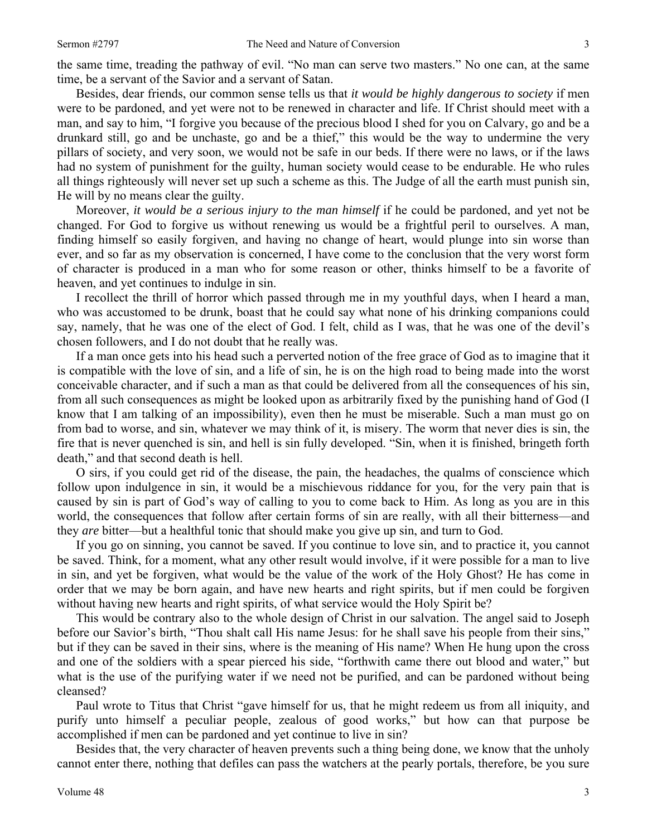the same time, treading the pathway of evil. "No man can serve two masters." No one can, at the same time, be a servant of the Savior and a servant of Satan.

Besides, dear friends, our common sense tells us that *it would be highly dangerous to society* if men were to be pardoned, and yet were not to be renewed in character and life. If Christ should meet with a man, and say to him, "I forgive you because of the precious blood I shed for you on Calvary, go and be a drunkard still, go and be unchaste, go and be a thief," this would be the way to undermine the very pillars of society, and very soon, we would not be safe in our beds. If there were no laws, or if the laws had no system of punishment for the guilty, human society would cease to be endurable. He who rules all things righteously will never set up such a scheme as this. The Judge of all the earth must punish sin, He will by no means clear the guilty.

Moreover, *it would be a serious injury to the man himself* if he could be pardoned, and yet not be changed. For God to forgive us without renewing us would be a frightful peril to ourselves. A man, finding himself so easily forgiven, and having no change of heart, would plunge into sin worse than ever, and so far as my observation is concerned, I have come to the conclusion that the very worst form of character is produced in a man who for some reason or other, thinks himself to be a favorite of heaven, and yet continues to indulge in sin.

I recollect the thrill of horror which passed through me in my youthful days, when I heard a man, who was accustomed to be drunk, boast that he could say what none of his drinking companions could say, namely, that he was one of the elect of God. I felt, child as I was, that he was one of the devil's chosen followers, and I do not doubt that he really was.

If a man once gets into his head such a perverted notion of the free grace of God as to imagine that it is compatible with the love of sin, and a life of sin, he is on the high road to being made into the worst conceivable character, and if such a man as that could be delivered from all the consequences of his sin, from all such consequences as might be looked upon as arbitrarily fixed by the punishing hand of God (I know that I am talking of an impossibility), even then he must be miserable. Such a man must go on from bad to worse, and sin, whatever we may think of it, is misery. The worm that never dies is sin, the fire that is never quenched is sin, and hell is sin fully developed. "Sin, when it is finished, bringeth forth death," and that second death is hell.

O sirs, if you could get rid of the disease, the pain, the headaches, the qualms of conscience which follow upon indulgence in sin, it would be a mischievous riddance for you, for the very pain that is caused by sin is part of God's way of calling to you to come back to Him. As long as you are in this world, the consequences that follow after certain forms of sin are really, with all their bitterness—and they *are* bitter—but a healthful tonic that should make you give up sin, and turn to God.

If you go on sinning, you cannot be saved. If you continue to love sin, and to practice it, you cannot be saved. Think, for a moment, what any other result would involve, if it were possible for a man to live in sin, and yet be forgiven, what would be the value of the work of the Holy Ghost? He has come in order that we may be born again, and have new hearts and right spirits, but if men could be forgiven without having new hearts and right spirits, of what service would the Holy Spirit be?

This would be contrary also to the whole design of Christ in our salvation. The angel said to Joseph before our Savior's birth, "Thou shalt call His name Jesus: for he shall save his people from their sins," but if they can be saved in their sins, where is the meaning of His name? When He hung upon the cross and one of the soldiers with a spear pierced his side, "forthwith came there out blood and water," but what is the use of the purifying water if we need not be purified, and can be pardoned without being cleansed?

Paul wrote to Titus that Christ "gave himself for us, that he might redeem us from all iniquity, and purify unto himself a peculiar people, zealous of good works," but how can that purpose be accomplished if men can be pardoned and yet continue to live in sin?

Besides that, the very character of heaven prevents such a thing being done, we know that the unholy cannot enter there, nothing that defiles can pass the watchers at the pearly portals, therefore, be you sure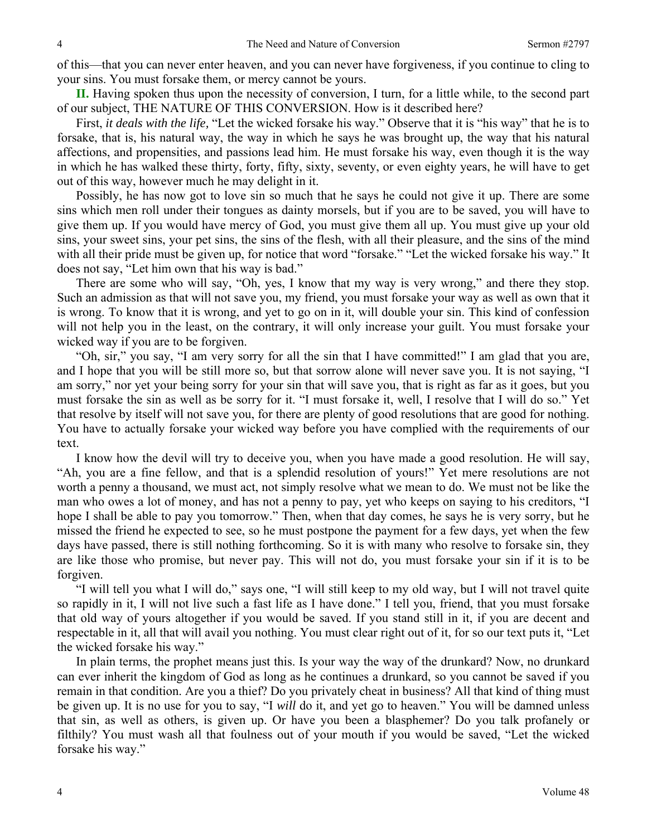of this—that you can never enter heaven, and you can never have forgiveness, if you continue to cling to your sins. You must forsake them, or mercy cannot be yours.

**II.** Having spoken thus upon the necessity of conversion, I turn, for a little while, to the second part of our subject, THE NATURE OF THIS CONVERSION. How is it described here?

First, *it deals with the life,* "Let the wicked forsake his way." Observe that it is "his way" that he is to forsake, that is, his natural way, the way in which he says he was brought up, the way that his natural affections, and propensities, and passions lead him. He must forsake his way, even though it is the way in which he has walked these thirty, forty, fifty, sixty, seventy, or even eighty years, he will have to get out of this way, however much he may delight in it.

Possibly, he has now got to love sin so much that he says he could not give it up. There are some sins which men roll under their tongues as dainty morsels, but if you are to be saved, you will have to give them up. If you would have mercy of God, you must give them all up. You must give up your old sins, your sweet sins, your pet sins, the sins of the flesh, with all their pleasure, and the sins of the mind with all their pride must be given up, for notice that word "forsake." "Let the wicked forsake his way." It does not say, "Let him own that his way is bad."

There are some who will say, "Oh, yes, I know that my way is very wrong," and there they stop. Such an admission as that will not save you, my friend, you must forsake your way as well as own that it is wrong. To know that it is wrong, and yet to go on in it, will double your sin. This kind of confession will not help you in the least, on the contrary, it will only increase your guilt. You must forsake your wicked way if you are to be forgiven.

"Oh, sir," you say, "I am very sorry for all the sin that I have committed!" I am glad that you are, and I hope that you will be still more so, but that sorrow alone will never save you. It is not saying, "I am sorry," nor yet your being sorry for your sin that will save you, that is right as far as it goes, but you must forsake the sin as well as be sorry for it. "I must forsake it, well, I resolve that I will do so." Yet that resolve by itself will not save you, for there are plenty of good resolutions that are good for nothing. You have to actually forsake your wicked way before you have complied with the requirements of our text.

I know how the devil will try to deceive you, when you have made a good resolution. He will say, "Ah, you are a fine fellow, and that is a splendid resolution of yours!" Yet mere resolutions are not worth a penny a thousand, we must act, not simply resolve what we mean to do. We must not be like the man who owes a lot of money, and has not a penny to pay, yet who keeps on saying to his creditors, "I hope I shall be able to pay you tomorrow." Then, when that day comes, he says he is very sorry, but he missed the friend he expected to see, so he must postpone the payment for a few days, yet when the few days have passed, there is still nothing forthcoming. So it is with many who resolve to forsake sin, they are like those who promise, but never pay. This will not do, you must forsake your sin if it is to be forgiven.

"I will tell you what I will do," says one, "I will still keep to my old way, but I will not travel quite so rapidly in it, I will not live such a fast life as I have done." I tell you, friend, that you must forsake that old way of yours altogether if you would be saved. If you stand still in it, if you are decent and respectable in it, all that will avail you nothing. You must clear right out of it, for so our text puts it, "Let the wicked forsake his way."

In plain terms, the prophet means just this. Is your way the way of the drunkard? Now, no drunkard can ever inherit the kingdom of God as long as he continues a drunkard, so you cannot be saved if you remain in that condition. Are you a thief? Do you privately cheat in business? All that kind of thing must be given up. It is no use for you to say, "I *will* do it, and yet go to heaven." You will be damned unless that sin, as well as others, is given up. Or have you been a blasphemer? Do you talk profanely or filthily? You must wash all that foulness out of your mouth if you would be saved, "Let the wicked forsake his way."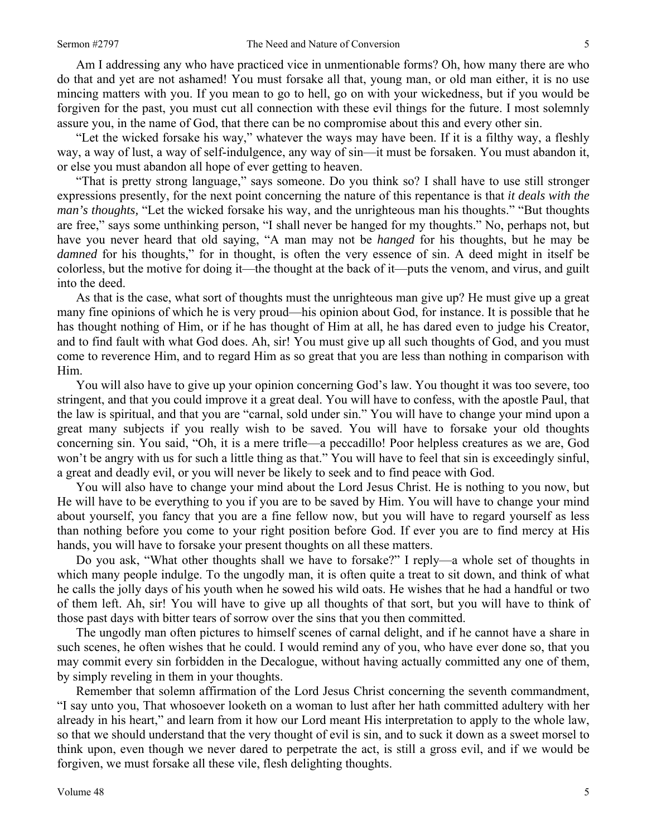Am I addressing any who have practiced vice in unmentionable forms? Oh, how many there are who do that and yet are not ashamed! You must forsake all that, young man, or old man either, it is no use mincing matters with you. If you mean to go to hell, go on with your wickedness, but if you would be forgiven for the past, you must cut all connection with these evil things for the future. I most solemnly assure you, in the name of God, that there can be no compromise about this and every other sin.

"Let the wicked forsake his way," whatever the ways may have been. If it is a filthy way, a fleshly way, a way of lust, a way of self-indulgence, any way of sin—it must be forsaken. You must abandon it, or else you must abandon all hope of ever getting to heaven.

"That is pretty strong language," says someone. Do you think so? I shall have to use still stronger expressions presently, for the next point concerning the nature of this repentance is that *it deals with the man's thoughts,* "Let the wicked forsake his way, and the unrighteous man his thoughts." "But thoughts are free," says some unthinking person, "I shall never be hanged for my thoughts." No, perhaps not, but have you never heard that old saying, "A man may not be *hanged* for his thoughts, but he may be *damned* for his thoughts," for in thought, is often the very essence of sin. A deed might in itself be colorless, but the motive for doing it—the thought at the back of it—puts the venom, and virus, and guilt into the deed.

As that is the case, what sort of thoughts must the unrighteous man give up? He must give up a great many fine opinions of which he is very proud—his opinion about God, for instance. It is possible that he has thought nothing of Him, or if he has thought of Him at all, he has dared even to judge his Creator, and to find fault with what God does. Ah, sir! You must give up all such thoughts of God, and you must come to reverence Him, and to regard Him as so great that you are less than nothing in comparison with Him.

You will also have to give up your opinion concerning God's law. You thought it was too severe, too stringent, and that you could improve it a great deal. You will have to confess, with the apostle Paul, that the law is spiritual, and that you are "carnal, sold under sin." You will have to change your mind upon a great many subjects if you really wish to be saved. You will have to forsake your old thoughts concerning sin. You said, "Oh, it is a mere trifle—a peccadillo! Poor helpless creatures as we are, God won't be angry with us for such a little thing as that." You will have to feel that sin is exceedingly sinful, a great and deadly evil, or you will never be likely to seek and to find peace with God.

You will also have to change your mind about the Lord Jesus Christ. He is nothing to you now, but He will have to be everything to you if you are to be saved by Him. You will have to change your mind about yourself, you fancy that you are a fine fellow now, but you will have to regard yourself as less than nothing before you come to your right position before God. If ever you are to find mercy at His hands, you will have to forsake your present thoughts on all these matters.

Do you ask, "What other thoughts shall we have to forsake?" I reply—a whole set of thoughts in which many people indulge. To the ungodly man, it is often quite a treat to sit down, and think of what he calls the jolly days of his youth when he sowed his wild oats. He wishes that he had a handful or two of them left. Ah, sir! You will have to give up all thoughts of that sort, but you will have to think of those past days with bitter tears of sorrow over the sins that you then committed.

The ungodly man often pictures to himself scenes of carnal delight, and if he cannot have a share in such scenes, he often wishes that he could. I would remind any of you, who have ever done so, that you may commit every sin forbidden in the Decalogue, without having actually committed any one of them, by simply reveling in them in your thoughts.

Remember that solemn affirmation of the Lord Jesus Christ concerning the seventh commandment, "I say unto you, That whosoever looketh on a woman to lust after her hath committed adultery with her already in his heart," and learn from it how our Lord meant His interpretation to apply to the whole law, so that we should understand that the very thought of evil is sin, and to suck it down as a sweet morsel to think upon, even though we never dared to perpetrate the act, is still a gross evil, and if we would be forgiven, we must forsake all these vile, flesh delighting thoughts.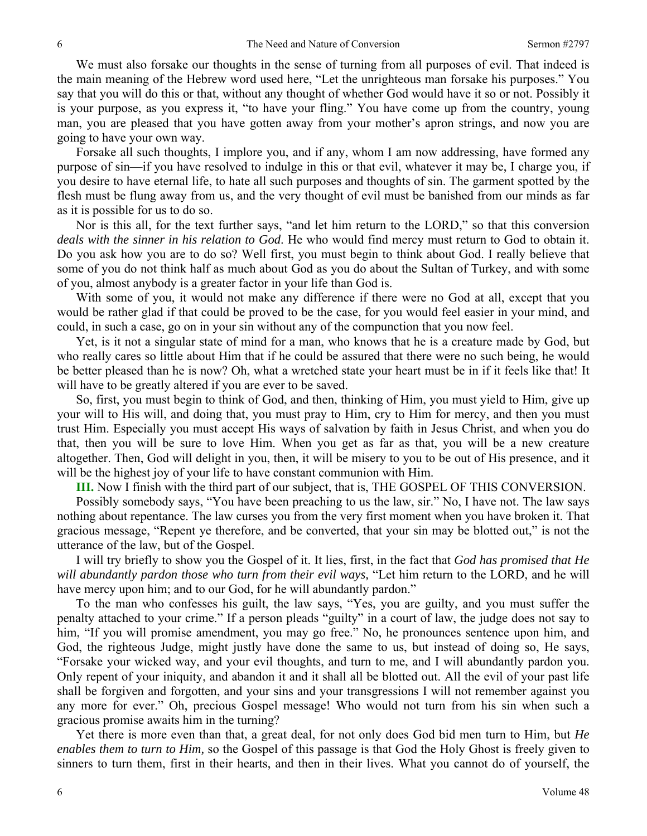We must also forsake our thoughts in the sense of turning from all purposes of evil. That indeed is the main meaning of the Hebrew word used here, "Let the unrighteous man forsake his purposes." You say that you will do this or that, without any thought of whether God would have it so or not. Possibly it is your purpose, as you express it, "to have your fling." You have come up from the country, young man, you are pleased that you have gotten away from your mother's apron strings, and now you are going to have your own way.

Forsake all such thoughts, I implore you, and if any, whom I am now addressing, have formed any purpose of sin—if you have resolved to indulge in this or that evil, whatever it may be, I charge you, if you desire to have eternal life, to hate all such purposes and thoughts of sin. The garment spotted by the flesh must be flung away from us, and the very thought of evil must be banished from our minds as far as it is possible for us to do so.

Nor is this all, for the text further says, "and let him return to the LORD," so that this conversion *deals with the sinner in his relation to God*. He who would find mercy must return to God to obtain it. Do you ask how you are to do so? Well first, you must begin to think about God. I really believe that some of you do not think half as much about God as you do about the Sultan of Turkey, and with some of you, almost anybody is a greater factor in your life than God is.

With some of you, it would not make any difference if there were no God at all, except that you would be rather glad if that could be proved to be the case, for you would feel easier in your mind, and could, in such a case, go on in your sin without any of the compunction that you now feel.

Yet, is it not a singular state of mind for a man, who knows that he is a creature made by God, but who really cares so little about Him that if he could be assured that there were no such being, he would be better pleased than he is now? Oh, what a wretched state your heart must be in if it feels like that! It will have to be greatly altered if you are ever to be saved.

So, first, you must begin to think of God, and then, thinking of Him, you must yield to Him, give up your will to His will, and doing that, you must pray to Him, cry to Him for mercy, and then you must trust Him. Especially you must accept His ways of salvation by faith in Jesus Christ, and when you do that, then you will be sure to love Him. When you get as far as that, you will be a new creature altogether. Then, God will delight in you, then, it will be misery to you to be out of His presence, and it will be the highest joy of your life to have constant communion with Him.

**III.** Now I finish with the third part of our subject, that is, THE GOSPEL OF THIS CONVERSION.

Possibly somebody says, "You have been preaching to us the law, sir." No, I have not. The law says nothing about repentance. The law curses you from the very first moment when you have broken it. That gracious message, "Repent ye therefore, and be converted, that your sin may be blotted out," is not the utterance of the law, but of the Gospel.

I will try briefly to show you the Gospel of it. It lies, first, in the fact that *God has promised that He will abundantly pardon those who turn from their evil ways,* "Let him return to the LORD, and he will have mercy upon him; and to our God, for he will abundantly pardon."

To the man who confesses his guilt, the law says, "Yes, you are guilty, and you must suffer the penalty attached to your crime." If a person pleads "guilty" in a court of law, the judge does not say to him, "If you will promise amendment, you may go free." No, he pronounces sentence upon him, and God, the righteous Judge, might justly have done the same to us, but instead of doing so, He says, "Forsake your wicked way, and your evil thoughts, and turn to me, and I will abundantly pardon you. Only repent of your iniquity, and abandon it and it shall all be blotted out. All the evil of your past life shall be forgiven and forgotten, and your sins and your transgressions I will not remember against you any more for ever." Oh, precious Gospel message! Who would not turn from his sin when such a gracious promise awaits him in the turning?

Yet there is more even than that, a great deal, for not only does God bid men turn to Him, but *He enables them to turn to Him,* so the Gospel of this passage is that God the Holy Ghost is freely given to sinners to turn them, first in their hearts, and then in their lives. What you cannot do of yourself, the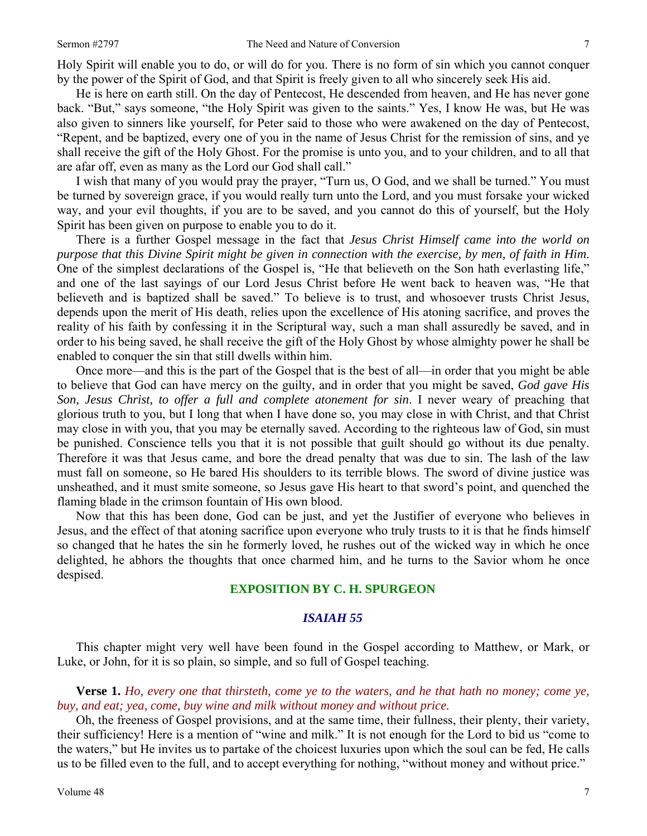Holy Spirit will enable you to do, or will do for you. There is no form of sin which you cannot conquer by the power of the Spirit of God, and that Spirit is freely given to all who sincerely seek His aid.

He is here on earth still. On the day of Pentecost, He descended from heaven, and He has never gone back. "But," says someone, "the Holy Spirit was given to the saints." Yes, I know He was, but He was also given to sinners like yourself, for Peter said to those who were awakened on the day of Pentecost, "Repent, and be baptized, every one of you in the name of Jesus Christ for the remission of sins, and ye shall receive the gift of the Holy Ghost. For the promise is unto you, and to your children, and to all that are afar off, even as many as the Lord our God shall call."

I wish that many of you would pray the prayer, "Turn us, O God, and we shall be turned." You must be turned by sovereign grace, if you would really turn unto the Lord, and you must forsake your wicked way, and your evil thoughts, if you are to be saved, and you cannot do this of yourself, but the Holy Spirit has been given on purpose to enable you to do it.

There is a further Gospel message in the fact that *Jesus Christ Himself came into the world on purpose that this Divine Spirit might be given in connection with the exercise, by men, of faith in Him*. One of the simplest declarations of the Gospel is, "He that believeth on the Son hath everlasting life," and one of the last sayings of our Lord Jesus Christ before He went back to heaven was, "He that believeth and is baptized shall be saved." To believe is to trust, and whosoever trusts Christ Jesus, depends upon the merit of His death, relies upon the excellence of His atoning sacrifice, and proves the reality of his faith by confessing it in the Scriptural way, such a man shall assuredly be saved, and in order to his being saved, he shall receive the gift of the Holy Ghost by whose almighty power he shall be enabled to conquer the sin that still dwells within him.

Once more—and this is the part of the Gospel that is the best of all—in order that you might be able to believe that God can have mercy on the guilty, and in order that you might be saved, *God gave His Son, Jesus Christ, to offer a full and complete atonement for sin*. I never weary of preaching that glorious truth to you, but I long that when I have done so, you may close in with Christ, and that Christ may close in with you, that you may be eternally saved. According to the righteous law of God, sin must be punished. Conscience tells you that it is not possible that guilt should go without its due penalty. Therefore it was that Jesus came, and bore the dread penalty that was due to sin. The lash of the law must fall on someone, so He bared His shoulders to its terrible blows. The sword of divine justice was unsheathed, and it must smite someone, so Jesus gave His heart to that sword's point, and quenched the flaming blade in the crimson fountain of His own blood.

Now that this has been done, God can be just, and yet the Justifier of everyone who believes in Jesus, and the effect of that atoning sacrifice upon everyone who truly trusts to it is that he finds himself so changed that he hates the sin he formerly loved, he rushes out of the wicked way in which he once delighted, he abhors the thoughts that once charmed him, and he turns to the Savior whom he once despised.

### **EXPOSITION BY C. H. SPURGEON**

#### *ISAIAH 55*

This chapter might very well have been found in the Gospel according to Matthew, or Mark, or Luke, or John, for it is so plain, so simple, and so full of Gospel teaching.

**Verse 1.** *Ho, every one that thirsteth, come ye to the waters, and he that hath no money; come ye, buy, and eat; yea, come, buy wine and milk without money and without price.* 

Oh, the freeness of Gospel provisions, and at the same time, their fullness, their plenty, their variety, their sufficiency! Here is a mention of "wine and milk." It is not enough for the Lord to bid us "come to the waters," but He invites us to partake of the choicest luxuries upon which the soul can be fed, He calls us to be filled even to the full, and to accept everything for nothing, "without money and without price."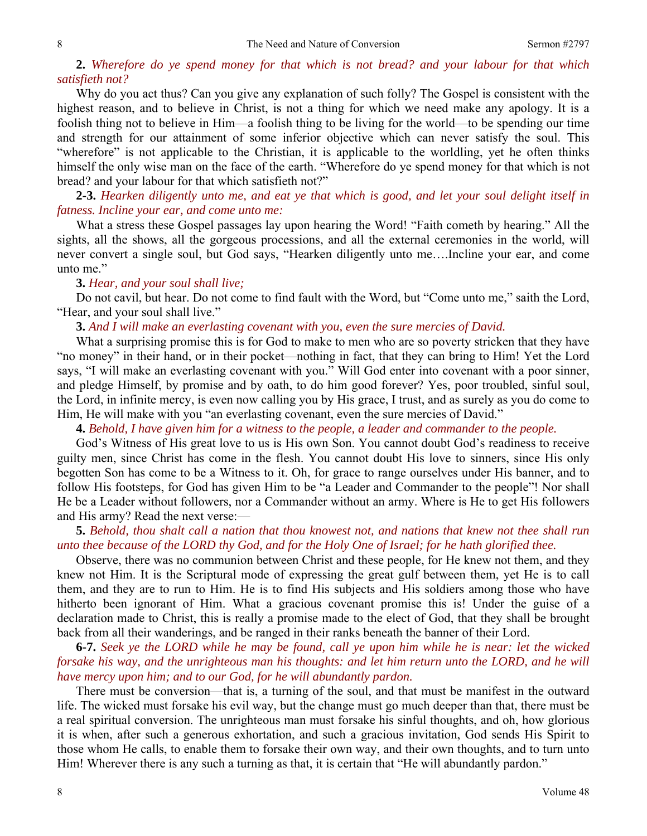### **2.** *Wherefore do ye spend money for that which is not bread? and your labour for that which satisfieth not?*

Why do you act thus? Can you give any explanation of such folly? The Gospel is consistent with the highest reason, and to believe in Christ, is not a thing for which we need make any apology. It is a foolish thing not to believe in Him—a foolish thing to be living for the world—to be spending our time and strength for our attainment of some inferior objective which can never satisfy the soul. This "wherefore" is not applicable to the Christian, it is applicable to the worldling, yet he often thinks himself the only wise man on the face of the earth. "Wherefore do ye spend money for that which is not bread? and your labour for that which satisfieth not?"

**2-3.** *Hearken diligently unto me, and eat ye that which is good, and let your soul delight itself in fatness. Incline your ear, and come unto me:* 

What a stress these Gospel passages lay upon hearing the Word! "Faith cometh by hearing." All the sights, all the shows, all the gorgeous processions, and all the external ceremonies in the world, will never convert a single soul, but God says, "Hearken diligently unto me….Incline your ear, and come unto me."

#### **3.** *Hear, and your soul shall live;*

Do not cavil, but hear. Do not come to find fault with the Word, but "Come unto me," saith the Lord, "Hear, and your soul shall live."

#### **3.** *And I will make an everlasting covenant with you, even the sure mercies of David.*

What a surprising promise this is for God to make to men who are so poverty stricken that they have "no money" in their hand, or in their pocket—nothing in fact, that they can bring to Him! Yet the Lord says, "I will make an everlasting covenant with you." Will God enter into covenant with a poor sinner, and pledge Himself, by promise and by oath, to do him good forever? Yes, poor troubled, sinful soul, the Lord, in infinite mercy, is even now calling you by His grace, I trust, and as surely as you do come to Him, He will make with you "an everlasting covenant, even the sure mercies of David."

#### **4.** *Behold, I have given him for a witness to the people, a leader and commander to the people.*

God's Witness of His great love to us is His own Son. You cannot doubt God's readiness to receive guilty men, since Christ has come in the flesh. You cannot doubt His love to sinners, since His only begotten Son has come to be a Witness to it. Oh, for grace to range ourselves under His banner, and to follow His footsteps, for God has given Him to be "a Leader and Commander to the people"! Nor shall He be a Leader without followers, nor a Commander without an army. Where is He to get His followers and His army? Read the next verse:—

# **5.** *Behold, thou shalt call a nation that thou knowest not, and nations that knew not thee shall run unto thee because of the LORD thy God, and for the Holy One of Israel; for he hath glorified thee.*

Observe, there was no communion between Christ and these people, for He knew not them, and they knew not Him. It is the Scriptural mode of expressing the great gulf between them, yet He is to call them, and they are to run to Him. He is to find His subjects and His soldiers among those who have hitherto been ignorant of Him. What a gracious covenant promise this is! Under the guise of a declaration made to Christ, this is really a promise made to the elect of God, that they shall be brought back from all their wanderings, and be ranged in their ranks beneath the banner of their Lord.

**6-7.** *Seek ye the LORD while he may be found, call ye upon him while he is near: let the wicked forsake his way, and the unrighteous man his thoughts: and let him return unto the LORD, and he will have mercy upon him; and to our God, for he will abundantly pardon.* 

There must be conversion—that is, a turning of the soul, and that must be manifest in the outward life. The wicked must forsake his evil way, but the change must go much deeper than that, there must be a real spiritual conversion. The unrighteous man must forsake his sinful thoughts, and oh, how glorious it is when, after such a generous exhortation, and such a gracious invitation, God sends His Spirit to those whom He calls, to enable them to forsake their own way, and their own thoughts, and to turn unto Him! Wherever there is any such a turning as that, it is certain that "He will abundantly pardon."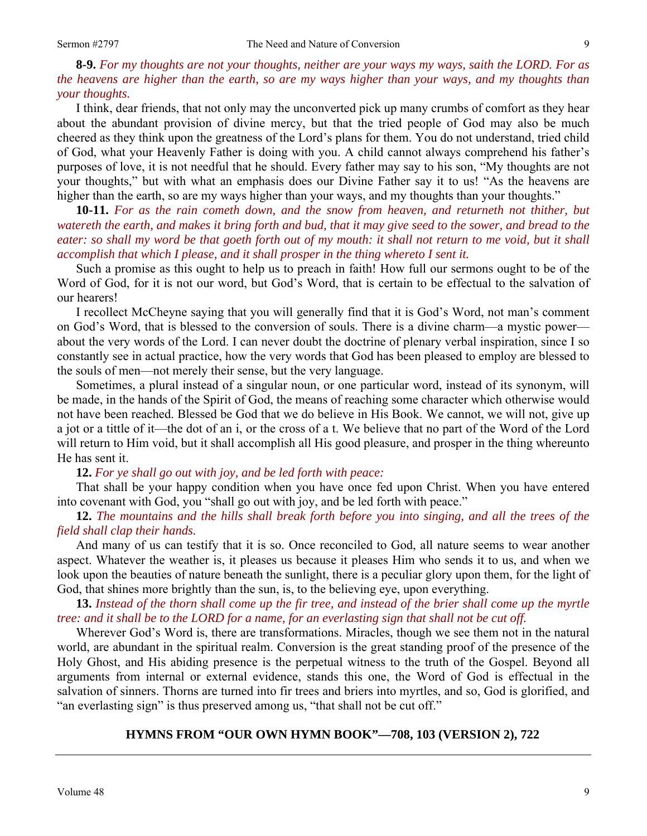**8-9.** *For my thoughts are not your thoughts, neither are your ways my ways, saith the LORD. For as the heavens are higher than the earth, so are my ways higher than your ways, and my thoughts than your thoughts.* 

I think, dear friends, that not only may the unconverted pick up many crumbs of comfort as they hear about the abundant provision of divine mercy, but that the tried people of God may also be much cheered as they think upon the greatness of the Lord's plans for them. You do not understand, tried child of God, what your Heavenly Father is doing with you. A child cannot always comprehend his father's purposes of love, it is not needful that he should. Every father may say to his son, "My thoughts are not your thoughts," but with what an emphasis does our Divine Father say it to us! "As the heavens are higher than the earth, so are my ways higher than your ways, and my thoughts than your thoughts."

**10-11.** *For as the rain cometh down, and the snow from heaven, and returneth not thither, but watereth the earth, and makes it bring forth and bud, that it may give seed to the sower, and bread to the eater: so shall my word be that goeth forth out of my mouth: it shall not return to me void, but it shall accomplish that which I please, and it shall prosper in the thing whereto I sent it.* 

Such a promise as this ought to help us to preach in faith! How full our sermons ought to be of the Word of God, for it is not our word, but God's Word, that is certain to be effectual to the salvation of our hearers!

I recollect McCheyne saying that you will generally find that it is God's Word, not man's comment on God's Word, that is blessed to the conversion of souls. There is a divine charm—a mystic power about the very words of the Lord. I can never doubt the doctrine of plenary verbal inspiration, since I so constantly see in actual practice, how the very words that God has been pleased to employ are blessed to the souls of men—not merely their sense, but the very language.

Sometimes, a plural instead of a singular noun, or one particular word, instead of its synonym, will be made, in the hands of the Spirit of God, the means of reaching some character which otherwise would not have been reached. Blessed be God that we do believe in His Book. We cannot, we will not, give up a jot or a tittle of it—the dot of an i, or the cross of a t. We believe that no part of the Word of the Lord will return to Him void, but it shall accomplish all His good pleasure, and prosper in the thing whereunto He has sent it.

### **12.** *For ye shall go out with joy, and be led forth with peace:*

That shall be your happy condition when you have once fed upon Christ. When you have entered into covenant with God, you "shall go out with joy, and be led forth with peace."

# **12.** *The mountains and the hills shall break forth before you into singing, and all the trees of the field shall clap their hands.*

And many of us can testify that it is so. Once reconciled to God, all nature seems to wear another aspect. Whatever the weather is, it pleases us because it pleases Him who sends it to us, and when we look upon the beauties of nature beneath the sunlight, there is a peculiar glory upon them, for the light of God, that shines more brightly than the sun, is, to the believing eye, upon everything.

# **13.** *Instead of the thorn shall come up the fir tree, and instead of the brier shall come up the myrtle tree: and it shall be to the LORD for a name, for an everlasting sign that shall not be cut off.*

Wherever God's Word is, there are transformations. Miracles, though we see them not in the natural world, are abundant in the spiritual realm. Conversion is the great standing proof of the presence of the Holy Ghost, and His abiding presence is the perpetual witness to the truth of the Gospel. Beyond all arguments from internal or external evidence, stands this one, the Word of God is effectual in the salvation of sinners. Thorns are turned into fir trees and briers into myrtles, and so, God is glorified, and "an everlasting sign" is thus preserved among us, "that shall not be cut off."

### **HYMNS FROM "OUR OWN HYMN BOOK"—708, 103 (VERSION 2), 722**